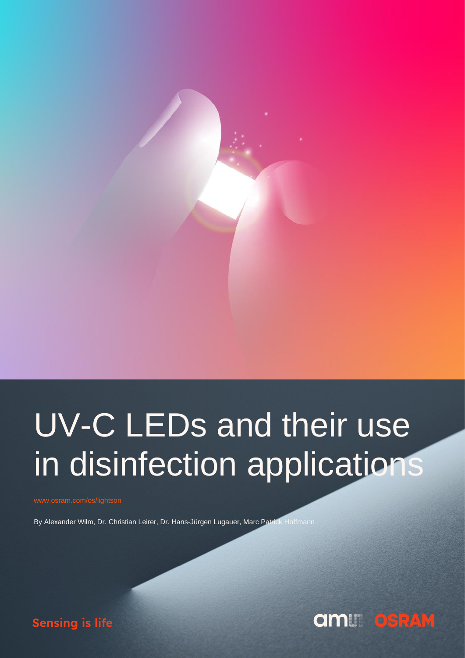

# UV-C LEDs and their use in disinfection applications

By Alexander Wilm, Dr. Christian Leirer, Dr. Hans-Jürgen Lugauer, Marc Patrick Hoffmann



**Sensing is life**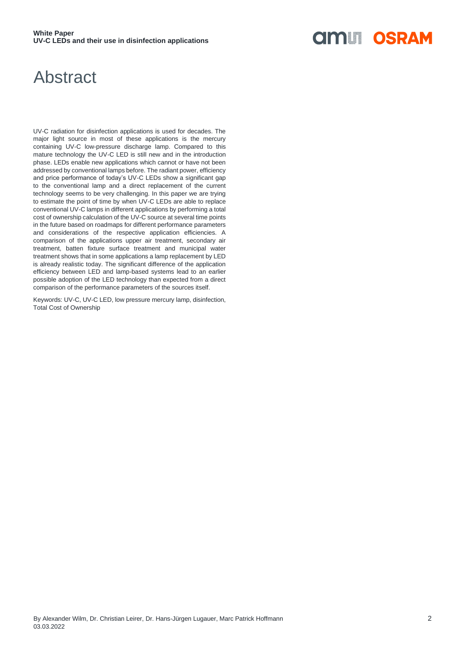### **OIMLI OSRAM**

### Abstract

UV-C radiation for disinfection applications is used for decades. The major light source in most of these applications is the mercury containing UV-C low-pressure discharge lamp. Compared to this mature technology the UV-C LED is still new and in the introduction phase. LEDs enable new applications which cannot or have not been addressed by conventional lamps before. The radiant power, efficiency and price performance of today's UV-C LEDs show a significant gap to the conventional lamp and a direct replacement of the current technology seems to be very challenging. In this paper we are trying to estimate the point of time by when UV-C LEDs are able to replace conventional UV-C lamps in different applications by performing a total cost of ownership calculation of the UV-C source at several time points in the future based on roadmaps for different performance parameters and considerations of the respective application efficiencies. A comparison of the applications upper air treatment, secondary air treatment, batten fixture surface treatment and municipal water treatment shows that in some applications a lamp replacement by LED is already realistic today. The significant difference of the application efficiency between LED and lamp-based systems lead to an earlier possible adoption of the LED technology than expected from a direct comparison of the performance parameters of the sources itself.

Keywords: UV-C, UV-C LED, low pressure mercury lamp, disinfection, Total Cost of Ownership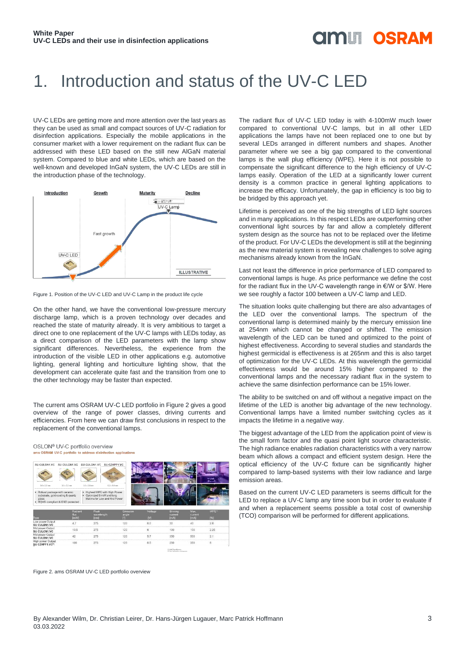### **OINLI OSRAM**

### 1. Introduction and status of the UV-C LED

UV-C LEDs are getting more and more attention over the last years as they can be used as small and compact sources of UV-C radiation for disinfection applications. Especially the mobile applications in the consumer market with a lower requirement on the radiant flux can be addressed with these LED based on the still new AlGaN material system. Compared to blue and white LEDs, which are based on the well-known and developed InGaN system, the UV-C LEDs are still in the introduction phase of the technology.



Figure 1. Position of the UV-C LED and UV-C Lamp in the product life cycle

On the other hand, we have the conventional low-pressure mercury discharge lamp, which is a proven technology over decades and reached the state of maturity already. It is very ambitious to target a direct one to one replacement of the UV-C lamps with LEDs today, as a direct comparison of the LED parameters with the lamp show significant differences. Nevertheless, the experience from the introduction of the visible LED in other applications e.g. automotive lighting, general lighting and horticulture lighting show, that the development can accelerate quite fast and the transition from one to the other technology may be faster than expected.

The current ams OSRAM UV-C LED portfolio in Figure 2 gives a good overview of the range of power classes, driving currents and efficiencies. From here we can draw first conclusions in respect to the replacement of the conventional lamps.

OSLON® UV-C portfolio overview ame OSRAM UV-C portfolio to address disi



Figure 2. ams OSRAM UV-C LED portfolio overview

The radiant flux of UV-C LED today is with 4-100mW much lower compared to conventional UV-C lamps, but in all other LED applications the lamps have not been replaced one to one but by several LEDs arranged in different numbers and shapes. Another parameter where we see a big gap compared to the conventional lamps is the wall plug efficiency (WPE). Here it is not possible to compensate the significant difference to the high efficiency of UV-C lamps easily. Operation of the LED at a significantly lower current density is a common practice in general lighting applications to increase the efficacy. Unfortunately, the gap in efficiency is too big to be bridged by this approach yet.

Lifetime is perceived as one of the big strengths of LED light sources and in many applications. In this respect LEDs are outperforming other conventional light sources by far and allow a completely different system design as the source has not to be replaced over the lifetime of the product. For UV-C LEDs the development is still at the beginning as the new material system is revealing new challenges to solve aging mechanisms already known from the InGaN.

Last not least the difference in price performance of LED compared to conventional lamps is huge. As price performance we define the cost for the radiant flux in the UV-C wavelength range in €/W or \$/W. Here we see roughly a factor 100 between a UV-C lamp and LED.

The situation looks quite challenging but there are also advantages of the LED over the conventional lamps. The spectrum of the conventional lamp is determined mainly by the mercury emission line at 254nm which cannot be changed or shifted. The emission wavelength of the LED can be tuned and optimized to the point of highest effectiveness. According to several studies and standards the highest germicidal is effectiveness is at 265nm and this is also target of optimization for the UV-C LEDs. At this wavelength the germicidal effectiveness would be around 15% higher compared to the conventional lamps and the necessary radiant flux in the system to achieve the same disinfection performance can be 15% lower.

The ability to be switched on and off without a negative impact on the lifetime of the LED is another big advantage of the new technology. Conventional lamps have a limited number switching cycles as it impacts the lifetime in a negative way.

The biggest advantage of the LED from the application point of view is the small form factor and the quasi point light source characteristic. The high radiance enables radiation characteristics with a very narrow beam which allows a compact and efficient system design. Here the optical efficiency of the UV-C fixture can be significantly higher compared to lamp-based systems with their low radiance and large emission areas.

Based on the current UV-C LED parameters is seems difficult for the LED to replace a UV-C lamp any time soon but in order to evaluate if and when a replacement seems possible a total cost of ownership (TCO) comparison will be performed for different applications.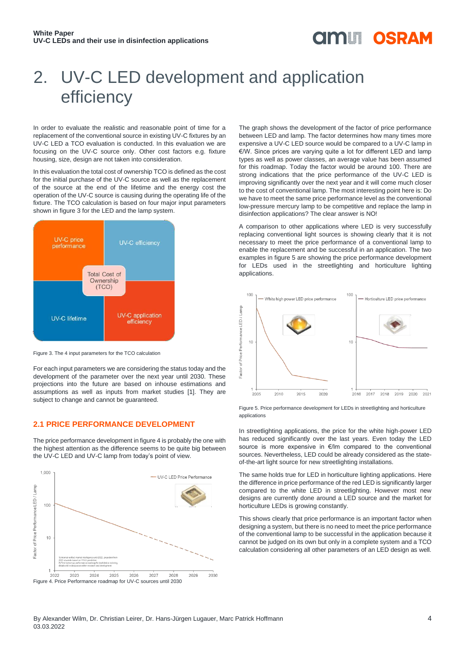### **OINLI OSRAM**

## 2. UV-C LED development and application efficiency

In order to evaluate the realistic and reasonable point of time for a replacement of the conventional source in existing UV-C fixtures by an UV-C LED a TCO evaluation is conducted. In this evaluation we are focusing on the UV-C source only. Other cost factors e.g. fixture housing, size, design are not taken into consideration.

In this evaluation the total cost of ownership TCO is defined as the cost for the initial purchase of the UV-C source as well as the replacement of the source at the end of the lifetime and the energy cost the operation of the UV-C source is causing during the operating life of the fixture. The TCO calculation is based on four major input parameters shown in figure 3 for the LED and the lamp system.



Figure 3. The 4 input parameters for the TCO calculation

For each input parameters we are considering the status today and the development of the parameter over the next year until 2030. These projections into the future are based on inhouse estimations and assumptions as well as inputs from market studies [1]. They are subject to change and cannot be quaranteed.

#### **2.1 PRICE PERFORMANCE DEVELOPMENT**

The price performance development in figure 4 is probably the one with the highest attention as the difference seems to be quite big between the UV-C LED and UV-C lamp from today's point of view.



Figure 4. Price Performance roadmap for UV-C sources until 2030

The graph shows the development of the factor of price performance between LED and lamp. The factor determines how many times more expensive a UV-C LED source would be compared to a UV-C lamp in €/W. Since prices are varying quite a lot for different LED and lamp types as well as power classes, an average value has been assumed for this roadmap. Today the factor would be around 100. There are strong indications that the price performance of the UV-C LED is improving significantly over the next year and it will come much closer to the cost of conventional lamp. The most interesting point here is: Do we have to meet the same price performance level as the conventional low-pressure mercury lamp to be competitive and replace the lamp in disinfection applications? The clear answer is NO!

A comparison to other applications where LED is very successfully replacing conventional light sources is showing clearly that it is not necessary to meet the price performance of a conventional lamp to enable the replacement and be successful in an application. The two examples in figure 5 are showing the price performance development for LEDs used in the streetlighting and horticulture lighting applications.



Figure 5. Price performance development for LEDs in streetlighting and horticulture applications

In streetlighting applications, the price for the white high-power LED has reduced significantly over the last years. Even today the LED source is more expensive in €/lm compared to the conventional sources. Nevertheless, LED could be already considered as the stateof-the-art light source for new streetlighting installations.

The same holds true for LED in horticulture lighting applications. Here the difference in price performance of the red LED is significantly larger compared to the white LED in streetlighting. However most new designs are currently done around a LED source and the market for horticulture LEDs is growing constantly.

This shows clearly that price performance is an important factor when designing a system, but there is no need to meet the price performance of the conventional lamp to be successful in the application because it cannot be judged on its own but only in a complete system and a TCO calculation considering all other parameters of an LED design as well.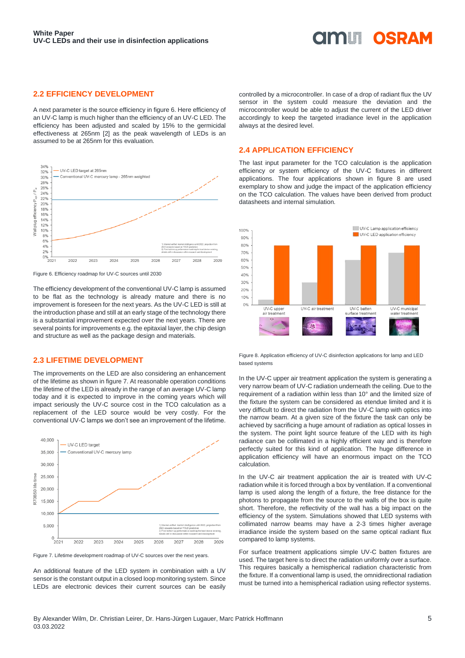#### **OINLE OSRAM**

#### **2.2 EFFICIENCY DEVELOPMENT**

A next parameter is the source efficiency in figure 6. Here efficiency of an UV-C lamp is much higher than the efficiency of an UV-C LED. The efficiency has been adjusted and scaled by 15% to the germicidal effectiveness at 265nm [2] as the peak wavelength of LEDs is an assumed to be at 265nm for this evaluation.



Figure 6. Efficiency roadmap for UV-C sources until 2030

The efficiency development of the conventional UV-C lamp is assumed to be flat as the technology is already mature and there is no improvement is foreseen for the next years. As the UV-C LED is still at the introduction phase and still at an early stage of the technology there is a substantial improvement expected over the next years. There are several points for improvements e.g. the epitaxial layer, the chip design and structure as well as the package design and materials.

#### **2.3 LIFETIME DEVELOPMENT**

The improvements on the LED are also considering an enhancement of the lifetime as shown in figure 7. At reasonable operation conditions the lifetime of the LED is already in the range of an average UV-C lamp today and it is expected to improve in the coming years which will impact seriously the UV-C source cost in the TCO calculation as a replacement of the LED source would be very costly. For the conventional UV-C lamps we don't see an improvement of the lifetime.



Figure 7. Lifetime development roadmap of UV-C sources over the next years.

An additional feature of the LED system in combination with a UV sensor is the constant output in a closed loop monitoring system. Since LEDs are electronic devices their current sources can be easily controlled by a microcontroller. In case of a drop of radiant flux the UV sensor in the system could measure the deviation and the microcontroller would be able to adjust the current of the LED driver accordingly to keep the targeted irradiance level in the application always at the desired level.

#### **2.4 APPLICATION EFFICIENCY**

The last input parameter for the TCO calculation is the application efficiency or system efficiency of the UV-C fixtures in different applications. The four applications shown in figure 8 are used exemplary to show and judge the impact of the application efficiency on the TCO calculation. The values have been derived from product datasheets and internal simulation.



Figure 8. Application efficiency of UV-C disinfection applications for lamp and LED based systems

In the UV-C upper air treatment application the system is generating a very narrow beam of UV-C radiation underneath the ceiling. Due to the requirement of a radiation within less than 10° and the limited size of the fixture the system can be considered as etendue limited and it is very difficult to direct the radiation from the UV-C lamp with optics into the narrow beam. At a given size of the fixture the task can only be achieved by sacrificing a huge amount of radiation as optical losses in the system. The point light source feature of the LED with its high radiance can be collimated in a highly efficient way and is therefore perfectly suited for this kind of application. The huge difference in application efficiency will have an enormous impact on the TCO calculation.

In the UV-C air treatment application the air is treated with UV-C radiation while it is forced through a box by ventilation. If a conventional lamp is used along the length of a fixture, the free distance for the photons to propagate from the source to the walls of the box is quite short. Therefore, the reflectivity of the wall has a big impact on the efficiency of the system. Simulations showed that LED systems with collimated narrow beams may have a 2-3 times higher average irradiance inside the system based on the same optical radiant flux compared to lamp systems.

For surface treatment applications simple UV-C batten fixtures are used. The target here is to direct the radiation uniformly over a surface. This requires basically a hemispherical radiation characteristic from the fixture. If a conventional lamp is used, the omnidirectional radiation must be turned into a hemispherical radiation using reflector systems.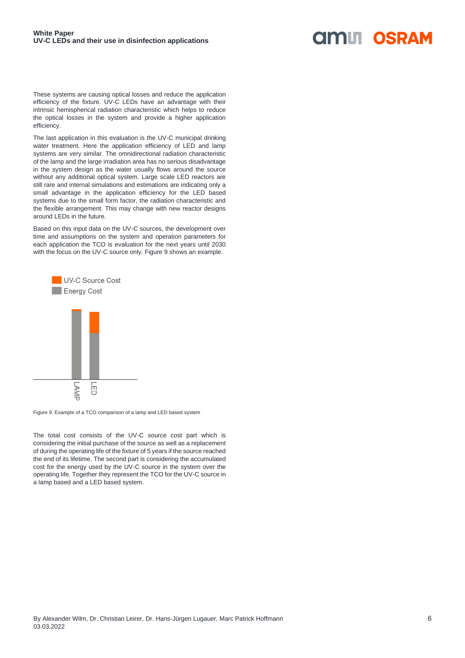#### **AMIT OSRAM**

These systems are causing optical losses and reduce the application efficiency of the fixture. UV-C LEDs have an advantage with their intrinsic hemispherical radiation characteristic which helps to reduce the optical losses in the system and provide a higher application efficiency.

The last application in this evaluation is the UV-C municipal drinking water treatment. Here the application efficiency of LED and lamp systems are very similar. The omnidirectional radiation characteristic of the lamp and the large irradiation area has no serious disadvantage in the system design as the water usually flows around the source without any additional optical system. Large scale LED reactors are still rare and internal simulations and estimations are indicating only a small advantage in the application efficiency for the LED based systems due to the small form factor, the radiation characteristic and the flexible arrangement. This may change with new reactor designs around LEDs in the future.

Based on this input data on the UV-C sources, the development over time and assumptions on the system and operation parameters for each application the TCO is evaluation for the next years until 2030 with the focus on the UV-C source only. Figure 9 shows an example.



Figure 9. Example of a TCO comparison of a lamp and LED based system

The total cost consists of the UV-C source cost part which is considering the initial purchase of the source as well as a replacement of during the operating life of the fixture of 5 years if the source reached the end of its lifetime. The second part is considering the accumulated cost for the energy used by the UV-C source in the system over the operating life. Together they represent the TCO for the UV-C source in a lamp based and a LED based system.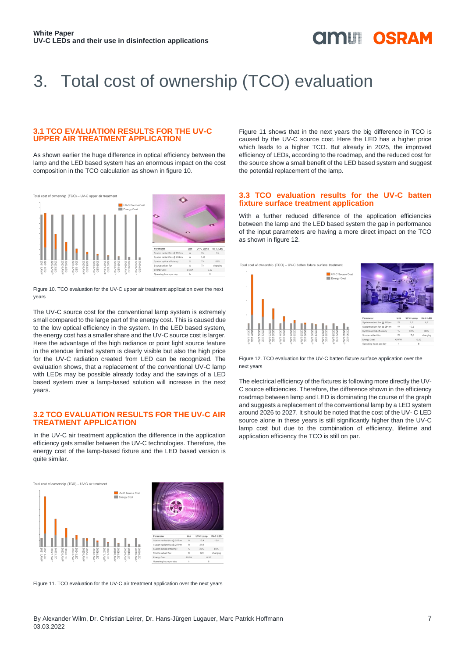### **OINLE OSRAM**

## 3. Total cost of ownership (TCO) evaluation

#### **3.1 TCO EVALUATION RESULTS FOR THE UV-C UPPER AIR TREATMENT APPLICATION**

As shown earlier the huge difference in optical efficiency between the lamp and the LED based system has an enormous impact on the cost composition in the TCO calculation as shown in figure 10.



Figure 10. TCO evaluation for the UV-C upper air treatment application over the next years

The UV-C source cost for the conventional lamp system is extremely small compared to the large part of the energy cost. This is caused due to the low optical efficiency in the system. In the LED based system, the energy cost has a smaller share and the UV-C source cost is larger. Here the advantage of the high radiance or point light source feature in the etendue limited system is clearly visible but also the high price for the UV-C radiation created from LED can be recognized. The evaluation shows, that a replacement of the conventional UV-C lamp with LEDs may be possible already today and the savings of a LED based system over a lamp-based solution will increase in the next years.

#### **3.2 TCO EVALUATION RESULTS FOR THE UV-C AIR TREATMENT APPLICATION**

In the UV-C air treatment application the difference in the application efficiency gets smaller between the UV-C technologies. Therefore, the energy cost of the lamp-based fixture and the LED based version is quite similar.



Figure 11. TCO evaluation for the UV-C air treatment application over the next years

Figure 11 shows that in the next years the big difference in TCO is caused by the UV-C source cost. Here the LED has a higher price which leads to a higher TCO. But already in 2025, the improved efficiency of LEDs, according to the roadmap, and the reduced cost for the source show a small benefit of the LED based system and suggest the potential replacement of the lamp.

#### **3.3 TCO evaluation results for the UV-C batten fixture surface treatment application**

With a further reduced difference of the application efficiencies between the lamp and the LED based system the gap in performance of the input parameters are having a more direct impact on the TCO as shown in figure 12.



Figure 12. TCO evaluation for the UV-C batten fixture surface application over the next years

The electrical efficiency of the fixtures is following more directly the UV-C source efficiencies. Therefore, the difference shown in the efficiency roadmap between lamp and LED is dominating the course of the graph and suggests a replacement of the conventional lamp by a LED system around 2026 to 2027. It should be noted that the cost of the UV- C LED source alone in these years is still significantly higher than the UV-C lamp cost but due to the combination of efficiency, lifetime and application efficiency the TCO is still on par.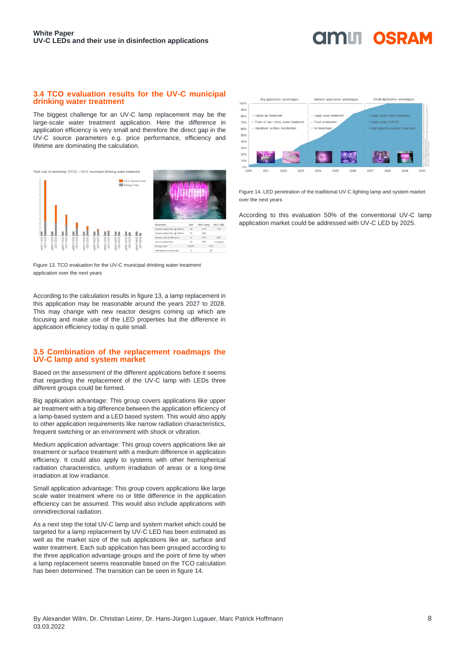#### **3.4 TCO evaluation results for the UV-C municipal drinking water treatment**

The biggest challenge for an UV-C lamp replacement may be the large-scale water treatment application. Here the difference in application efficiency is very small and therefore the direct gap in the UV-C source parameters e.g. price performance, efficiency and lifetime are dominating the calculation.



Figure 13. TCO evaluation for the UV-C municipal drinking water treatment application over the next years

According to the calculation results in figure 13, a lamp replacement in this application may be reasonable around the years 2027 to 2028. This may change with new reactor designs coming up which are focusing and make use of the LED properties but the difference in application efficiency today is quite small.

#### **3.5 Combination of the replacement roadmaps the UV-C lamp and system market**

Based on the assessment of the different applications before it seems that regarding the replacement of the UV-C lamp with LEDs three different groups could be formed.

Big application advantage: This group covers applications like upper air treatment with a big difference between the application efficiency of a lamp-based system and a LED based system. This would also apply to other application requirements like narrow radiation characteristics, frequent switching or an environment with shock or vibration.

Medium application advantage: This group covers applications like air treatment or surface treatment with a medium difference in application efficiency. It could also apply to systems with other hemispherical radiation characteristics, uniform irradiation of areas or a long-time irradiation at low irradiance.

Small application advantage: This group covers applications like large scale water treatment where no or little difference in the application efficiency can be assumed. This would also include applications with omnidirectional radiation.

As a next step the total UV-C lamp and system market which could be targeted for a lamp replacement by UV-C LED has been estimated as well as the market size of the sub applications like air, surface and water treatment. Each sub application has been grouped according to the three application advantage groups and the point of time by when a lamp replacement seems reasonable based on the TCO calculation has been determined. The transition can be seen in figure 14.



**dmin** 

OSRAM

Figure 14. LED penetration of the traditional UV-C lighting lamp and system market over the next years

According to this evaluation 50% of the conventional UV-C lamp application market could be addressed with UV-C LED by 2025.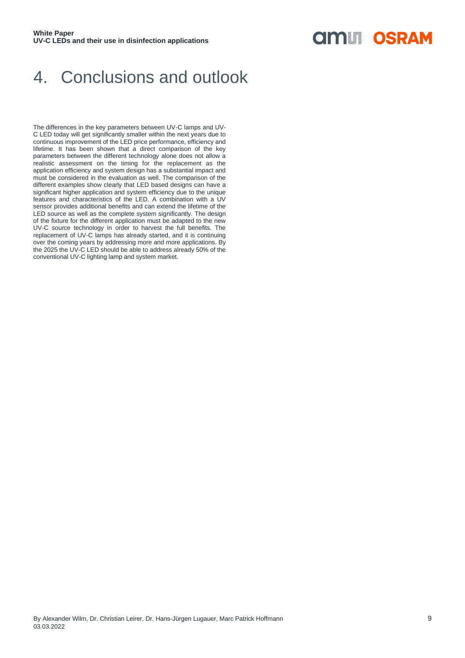### **OIMLI OSRAM**

#### 4. Conclusions and outlook

The differences in the key parameters between UV-C lamps and UV-C LED today will get significantly smaller within the next years due to continuous improvement of the LED price performance, efficiency and lifetime. It has been shown that a direct comparison of the key parameters between the different technology alone does not allow a realistic assessment on the timing for the replacement as the application efficiency and system design has a substantial impact and must be considered in the evaluation as well. The comparison of the different examples show clearly that LED based designs can have a significant higher application and system efficiency due to the unique features and characteristics of the LED. A combination with a UV sensor provides additional benefits and can extend the lifetime of the LED source as well as the complete system significantly. The design of the fixture for the different application must be adapted to the new UV-C source technology in order to harvest the full benefits. The replacement of UV-C lamps has already started, and it is continuing over the coming years by addressing more and more applications. By the 2025 the UV-C LED should be able to address already 50% of the conventional UV-C lighting lamp and system market.